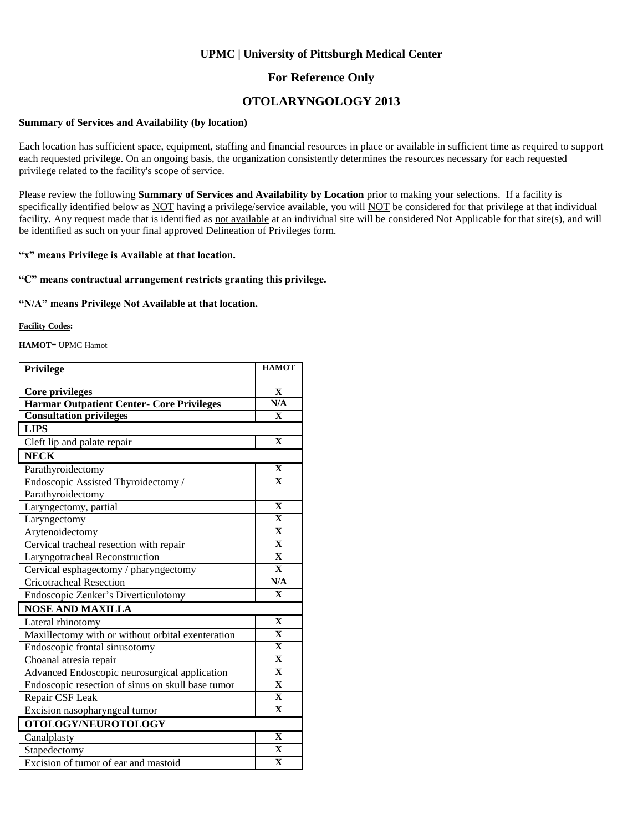### **UPMC | University of Pittsburgh Medical Center**

### **For Reference Only**

## **OTOLARYNGOLOGY 2013**

#### **Summary of Services and Availability (by location)**

Each location has sufficient space, equipment, staffing and financial resources in place or available in sufficient time as required to support each requested privilege. On an ongoing basis, the organization consistently determines the resources necessary for each requested privilege related to the facility's scope of service.

Please review the following **Summary of Services and Availability by Location** prior to making your selections. If a facility is specifically identified below as NOT having a privilege/service available, you will NOT be considered for that privilege at that individual facility. Any request made that is identified as not available at an individual site will be considered Not Applicable for that site(s), and will be identified as such on your final approved Delineation of Privileges form.

#### **"x" means Privilege is Available at that location.**

#### **"C" means contractual arrangement restricts granting this privilege.**

#### **"N/A" means Privilege Not Available at that location.**

#### **Facility Codes:**

**HAMOT=** UPMC Hamot

| Privilege                                         | <b>HAMOT</b>            |
|---------------------------------------------------|-------------------------|
| <b>Core privileges</b>                            | $\mathbf X$             |
| <b>Harmar Outpatient Center- Core Privileges</b>  | N/A                     |
| <b>Consultation privileges</b>                    | $\mathbf X$             |
| <b>LIPS</b>                                       |                         |
| Cleft lip and palate repair                       | $\mathbf{X}$            |
| <b>NECK</b>                                       |                         |
| Parathyroidectomy                                 | $\mathbf{X}$            |
| Endoscopic Assisted Thyroidectomy /               | $\mathbf{X}$            |
| Parathyroidectomy                                 |                         |
| Laryngectomy, partial                             | $\mathbf{X}$            |
| Laryngectomy                                      | $\overline{\mathbf{X}}$ |
| Arytenoidectomy                                   | $\mathbf X$             |
| Cervical tracheal resection with repair           | $\overline{\mathbf{X}}$ |
| Laryngotracheal Reconstruction                    | $\overline{\mathbf{x}}$ |
| Cervical esphagectomy / pharyngectomy             | $\overline{\mathbf{X}}$ |
| <b>Cricotracheal Resection</b>                    | N/A                     |
| Endoscopic Zenker's Diverticulotomy               | $\overline{\mathbf{X}}$ |
| <b>NOSE AND MAXILLA</b>                           |                         |
| Lateral rhinotomy                                 | $\mathbf X$             |
| Maxillectomy with or without orbital exenteration | $\overline{\mathbf{X}}$ |
| Endoscopic frontal sinusotomy                     | $\overline{\mathbf{X}}$ |
| Choanal atresia repair                            | $\overline{\mathbf{X}}$ |
| Advanced Endoscopic neurosurgical application     | $\overline{\mathbf{X}}$ |
| Endoscopic resection of sinus on skull base tumor | $\mathbf X$             |
| Repair CSF Leak                                   | $\overline{\mathbf{X}}$ |
| Excision nasopharyngeal tumor                     | $\overline{\mathbf{X}}$ |
| OTOLOGY/NEUROTOLOGY                               |                         |
| Canalplasty                                       | $\overline{\mathbf{X}}$ |
| Stapedectomy                                      | $\mathbf X$             |
| Excision of tumor of ear and mastoid              | $\overline{\mathbf{X}}$ |